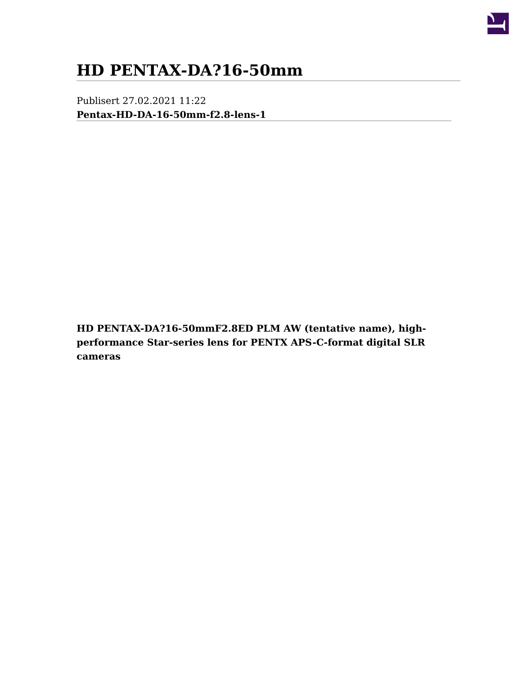

## **HD PENTAX-DA?16-50mm**

Publisert 27.02.2021 11:22 **[Pentax-HD-DA-16-50mm-f2.8-lens-1](/file/thumb/file/9/980638&width=1200&height=684&zwidth=1200&zheight=684&x=600&y=342.jpeg)**

**HD PENTAX-DA?16-50mmF2.8ED PLM AW (tentative name), highperformance Star-series lens for PENTX APS-C-format digital SLR cameras**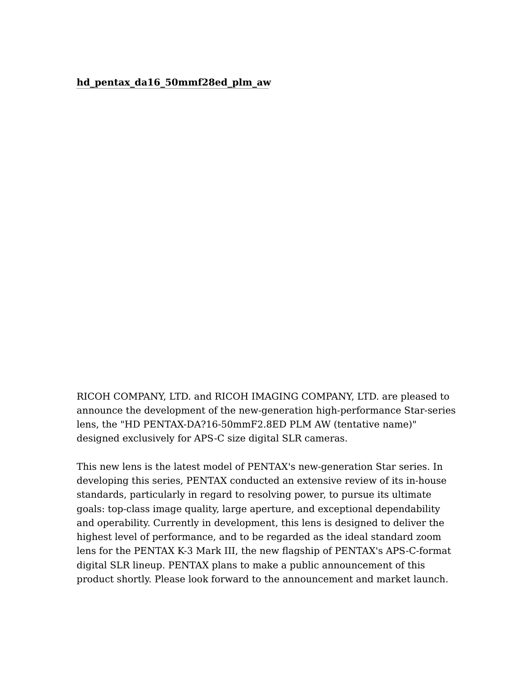## **[hd\\_pentax\\_da16\\_50mmf28ed\\_plm\\_aw](/file/thumb/file/9/980635&width=620&height=1015&zwidth=620&zheight=1015&x=310&y=508&resize_mode=crop.jpg)**

RICOH COMPANY, LTD. and RICOH IMAGING COMPANY, LTD. are pleased to announce the development of the new-generation high-performance Star-series lens, the "HD PENTAX-DA?16-50mmF2.8ED PLM AW (tentative name)" designed exclusively for APS-C size digital SLR cameras.

This new lens is the latest model of PENTAX's new-generation Star series. In developing this series, PENTAX conducted an extensive review of its in-house standards, particularly in regard to resolving power, to pursue its ultimate goals: top-class image quality, large aperture, and exceptional dependability and operability. Currently in development, this lens is designed to deliver the highest level of performance, and to be regarded as the ideal standard zoom lens for the PENTAX K-3 Mark III, the new flagship of PENTAX's APS-C-format digital SLR lineup. PENTAX plans to make a public announcement of this product shortly. Please look forward to the announcement and market launch.